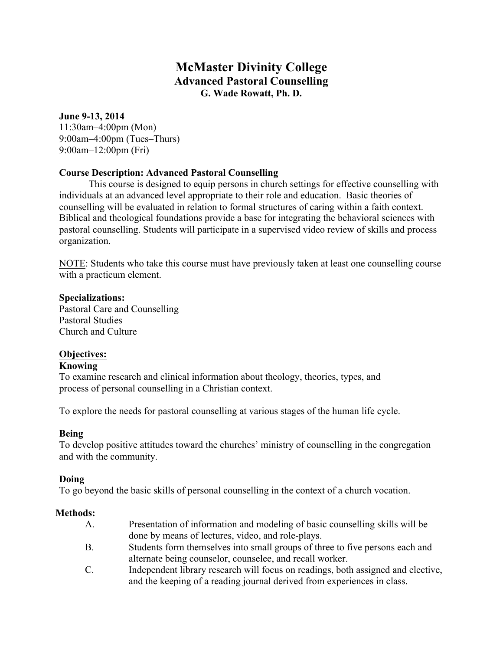# **McMaster Divinity College Advanced Pastoral Counselling G. Wade Rowatt, Ph. D.**

## **June 9-13, 2014**

11:30am–4:00pm (Mon) 9:00am–4:00pm (Tues–Thurs) 9:00am–12:00pm (Fri)

## **Course Description: Advanced Pastoral Counselling**

This course is designed to equip persons in church settings for effective counselling with individuals at an advanced level appropriate to their role and education. Basic theories of counselling will be evaluated in relation to formal structures of caring within a faith context. Biblical and theological foundations provide a base for integrating the behavioral sciences with pastoral counselling. Students will participate in a supervised video review of skills and process organization.

NOTE: Students who take this course must have previously taken at least one counselling course with a practicum element.

## **Specializations:**

Pastoral Care and Counselling Pastoral Studies Church and Culture

# **Objectives:**

# **Knowing**

To examine research and clinical information about theology, theories, types, and process of personal counselling in a Christian context.

To explore the needs for pastoral counselling at various stages of the human life cycle.

## **Being**

To develop positive attitudes toward the churches' ministry of counselling in the congregation and with the community.

## **Doing**

To go beyond the basic skills of personal counselling in the context of a church vocation.

# **Methods:**

- A. Presentation of information and modeling of basic counselling skills will be done by means of lectures, video, and role-plays.
- B. Students form themselves into small groups of three to five persons each and alternate being counselor, counselee, and recall worker.
- C. Independent library research will focus on readings, both assigned and elective, and the keeping of a reading journal derived from experiences in class.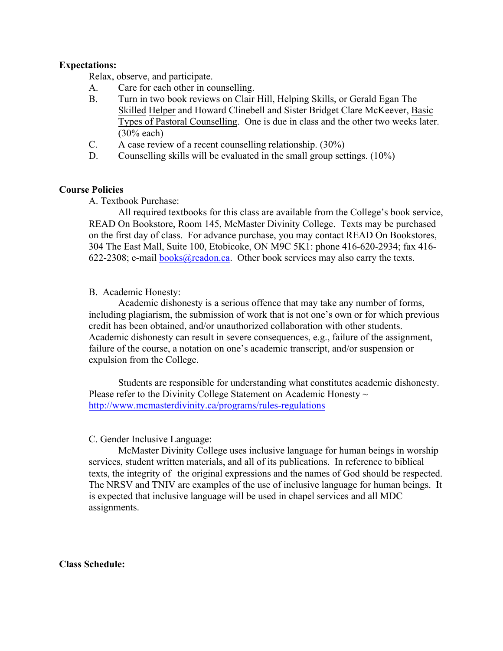#### **Expectations:**

Relax, observe, and participate.

- A. Care for each other in counselling.
- B. Turn in two book reviews on Clair Hill, Helping Skills, or Gerald Egan The Skilled Helper and Howard Clinebell and Sister Bridget Clare McKeever, Basic Types of Pastoral Counselling. One is due in class and the other two weeks later. (30% each)
- C. A case review of a recent counselling relationship. (30%)
- D. Counselling skills will be evaluated in the small group settings. (10%)

#### **Course Policies**

A. Textbook Purchase:

All required textbooks for this class are available from the College's book service, READ On Bookstore, Room 145, McMaster Divinity College. Texts may be purchased on the first day of class. For advance purchase, you may contact READ On Bookstores, 304 The East Mall, Suite 100, Etobicoke, ON M9C 5K1: phone 416-620-2934; fax 416- 622-2308; e-mail books@readon.ca. Other book services may also carry the texts.

#### B. Academic Honesty:

Academic dishonesty is a serious offence that may take any number of forms, including plagiarism, the submission of work that is not one's own or for which previous credit has been obtained, and/or unauthorized collaboration with other students. Academic dishonesty can result in severe consequences, e.g., failure of the assignment, failure of the course, a notation on one's academic transcript, and/or suspension or expulsion from the College.

Students are responsible for understanding what constitutes academic dishonesty. Please refer to the Divinity College Statement on Academic Honesty  $\sim$ http://www.mcmasterdivinity.ca/programs/rules-regulations

#### C. Gender Inclusive Language:

McMaster Divinity College uses inclusive language for human beings in worship services, student written materials, and all of its publications. In reference to biblical texts, the integrity of the original expressions and the names of God should be respected. The NRSV and TNIV are examples of the use of inclusive language for human beings. It is expected that inclusive language will be used in chapel services and all MDC assignments.

#### **Class Schedule:**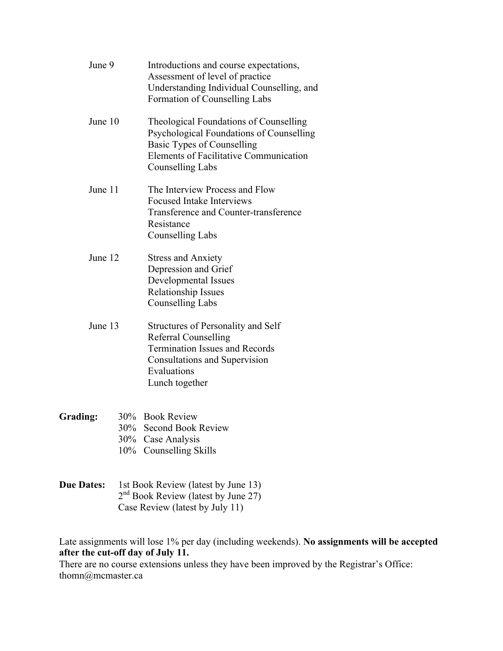| June 9   |  | Introductions and course expectations,<br>Assessment of level of practice<br>Understanding Individual Counselling, and<br>Formation of Counselling Labs                                             |
|----------|--|-----------------------------------------------------------------------------------------------------------------------------------------------------------------------------------------------------|
| June 10  |  | Theological Foundations of Counselling<br>Psychological Foundations of Counselling<br><b>Basic Types of Counselling</b><br><b>Elements of Facilitative Communication</b><br><b>Counselling Labs</b> |
| June 11  |  | The Interview Process and Flow<br><b>Focused Intake Interviews</b><br>Transference and Counter-transference<br>Resistance<br><b>Counselling Labs</b>                                                |
| June 12  |  | <b>Stress and Anxiety</b><br>Depression and Grief<br>Developmental Issues<br><b>Relationship Issues</b><br><b>Counselling Labs</b>                                                                  |
| June 13  |  | Structures of Personality and Self<br><b>Referral Counselling</b><br><b>Termination Issues and Records</b><br>Consultations and Supervision<br>Evaluations<br>Lunch together                        |
| Grading: |  | 30% Book Review<br>30% Second Book Review<br>30% Case Analysis<br>10% Counselling Skills                                                                                                            |

**Due Dates:** 1st Book Review (latest by June 13)  $2<sup>nd</sup>$  Book Review (latest by June 27) Case Review (latest by July 11)

Late assignments will lose 1% per day (including weekends). **No assignments will be accepted after the cut-off day of July 11.**

There are no course extensions unless they have been improved by the Registrar's Office: thomn@mcmaster.ca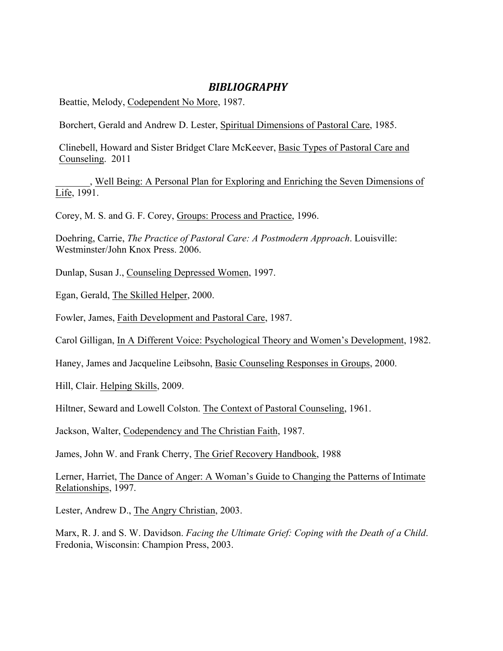# *BIBLIOGRAPHY*

Beattie, Melody, Codependent No More, 1987.

Borchert, Gerald and Andrew D. Lester, Spiritual Dimensions of Pastoral Care, 1985.

Clinebell, Howard and Sister Bridget Clare McKeever, Basic Types of Pastoral Care and Counseling. 2011

\_\_\_\_\_\_\_, Well Being: A Personal Plan for Exploring and Enriching the Seven Dimensions of Life, 1991.

Corey, M. S. and G. F. Corey, Groups: Process and Practice, 1996.

Doehring, Carrie, *The Practice of Pastoral Care: A Postmodern Approach*. Louisville: Westminster/John Knox Press. 2006.

Dunlap, Susan J., Counseling Depressed Women, 1997.

Egan, Gerald, The Skilled Helper, 2000.

Fowler, James, Faith Development and Pastoral Care, 1987.

Carol Gilligan, In A Different Voice: Psychological Theory and Women's Development, 1982.

Haney, James and Jacqueline Leibsohn, Basic Counseling Responses in Groups, 2000.

Hill, Clair. Helping Skills, 2009.

Hiltner, Seward and Lowell Colston. The Context of Pastoral Counseling, 1961.

Jackson, Walter, Codependency and The Christian Faith, 1987.

James, John W. and Frank Cherry, The Grief Recovery Handbook, 1988

Lerner, Harriet, The Dance of Anger: A Woman's Guide to Changing the Patterns of Intimate Relationships, 1997.

Lester, Andrew D., The Angry Christian, 2003.

Marx, R. J. and S. W. Davidson. *Facing the Ultimate Grief: Coping with the Death of a Child*. Fredonia, Wisconsin: Champion Press, 2003.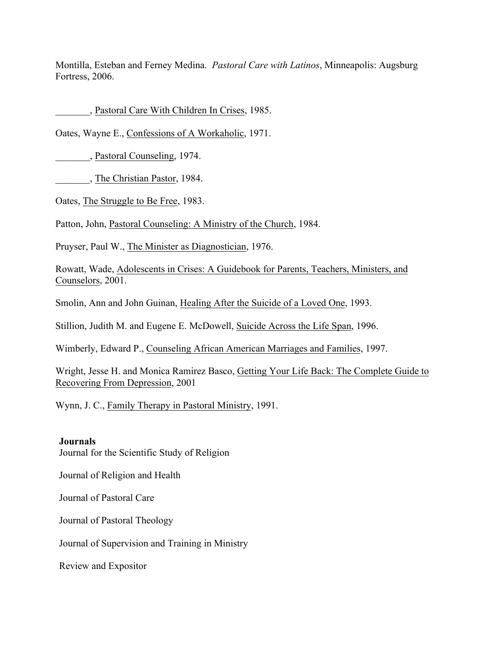Montilla, Esteban and Ferney Medina. *Pastoral Care with Latinos*, Minneapolis: Augsburg Fortress, 2006.

\_\_\_\_\_\_\_, Pastoral Care With Children In Crises, 1985.

Oates, Wayne E., Confessions of A Workaholic, 1971.

\_\_\_\_\_\_\_, Pastoral Counseling, 1974.

\_\_\_\_\_\_\_, The Christian Pastor, 1984.

Oates, The Struggle to Be Free, 1983.

Patton, John, Pastoral Counseling: A Ministry of the Church, 1984.

Pruyser, Paul W., The Minister as Diagnostician, 1976.

Rowatt, Wade, Adolescents in Crises: A Guidebook for Parents, Teachers, Ministers, and Counselors, 2001.

Smolin, Ann and John Guinan, Healing After the Suicide of a Loved One, 1993.

Stillion, Judith M. and Eugene E. McDowell, Suicide Across the Life Span, 1996.

Wimberly, Edward P., Counseling African American Marriages and Families, 1997.

Wright, Jesse H. and Monica Ramirez Basco, Getting Your Life Back: The Complete Guide to Recovering From Depression, 2001

Wynn, J. C., Family Therapy in Pastoral Ministry, 1991.

#### **Journals**

Journal for the Scientific Study of Religion

Journal of Religion and Health

Journal of Pastoral Care

Journal of Pastoral Theology

Journal of Supervision and Training in Ministry

Review and Expositor